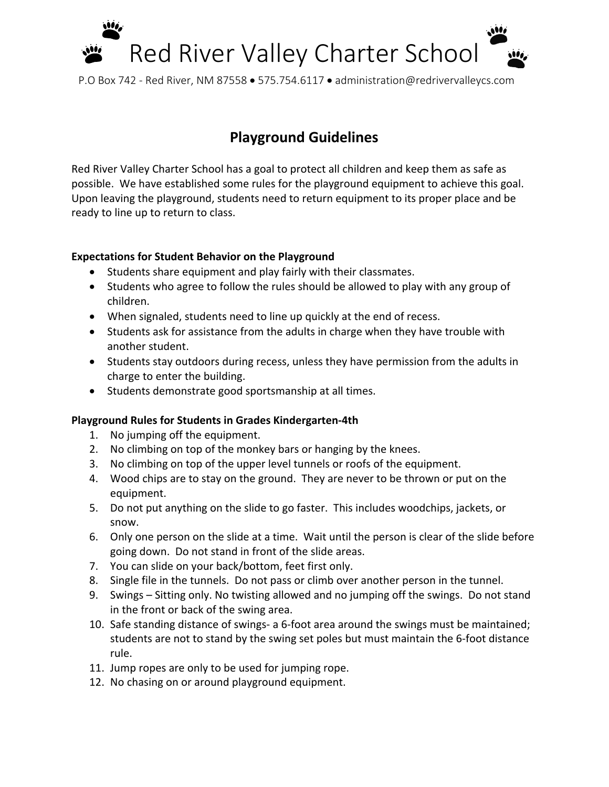

P.O Box 742 - Red River, NM 87558 • 575.754.6117 • administration@redrivervalleycs.com

## **Playground Guidelines**

Red River Valley Charter School has a goal to protect all children and keep them as safe as possible. We have established some rules for the playground equipment to achieve this goal. Upon leaving the playground, students need to return equipment to its proper place and be ready to line up to return to class.

## **Expectations for Student Behavior on the Playground**

- Students share equipment and play fairly with their classmates.
- Students who agree to follow the rules should be allowed to play with any group of children.
- When signaled, students need to line up quickly at the end of recess.
- Students ask for assistance from the adults in charge when they have trouble with another student.
- Students stay outdoors during recess, unless they have permission from the adults in charge to enter the building.
- Students demonstrate good sportsmanship at all times.

## **Playground Rules for Students in Grades Kindergarten-4th**

- 1. No jumping off the equipment.
- 2. No climbing on top of the monkey bars or hanging by the knees.
- 3. No climbing on top of the upper level tunnels or roofs of the equipment.
- 4. Wood chips are to stay on the ground. They are never to be thrown or put on the equipment.
- 5. Do not put anything on the slide to go faster. This includes woodchips, jackets, or snow.
- 6. Only one person on the slide at a time. Wait until the person is clear of the slide before going down. Do not stand in front of the slide areas.
- 7. You can slide on your back/bottom, feet first only.
- 8. Single file in the tunnels. Do not pass or climb over another person in the tunnel.
- 9. Swings Sitting only. No twisting allowed and no jumping off the swings. Do not stand in the front or back of the swing area.
- 10. Safe standing distance of swings- a 6-foot area around the swings must be maintained; students are not to stand by the swing set poles but must maintain the 6-foot distance rule.
- 11. Jump ropes are only to be used for jumping rope.
- 12. No chasing on or around playground equipment.